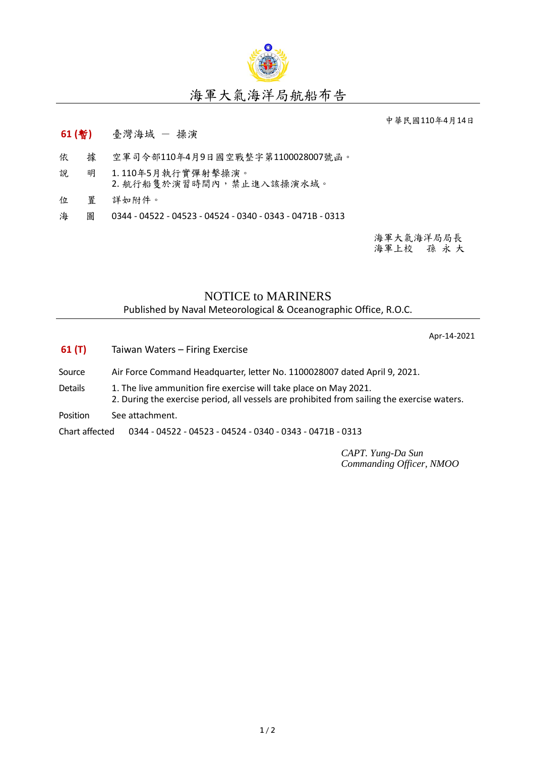

## 海軍大氣海洋局航船布告

中華民國110年4月14日

- **61 (**暫**)** 臺灣海域 操演
- 依 據 空軍司令部110年4月9日國空戰整字第1100028007號函。
- 說 明 1. 110年5月執行實彈射擊操演。 2. 航行船隻於演習時間內,禁止進入該操演水域。
- 位 置 詳如附件。
- 海 圖 0344 04522 04523 04524 0340 0343 0471B 0313

海軍大氣海洋局局長 海軍上校 孫 永 大

## NOTICE to MARINERS

Published by Naval Meteorological & Oceanographic Office, R.O.C.

Apr-14-2021

- **61 (T)** Taiwan Waters Firing Exercise
- Source Air Force Command Headquarter, letter No. 1100028007 dated April 9, 2021.
- Details 1. The live ammunition fire exercise will take place on May 2021.
	- 2. During the exercise period, all vessels are prohibited from sailing the exercise waters.
- Position See attachment.

Chart affected 0344 - 04522 - 04523 - 04524 - 0340 - 0343 - 0471B - 0313

*CAPT. Yung-Da Sun Commanding Officer, NMOO*